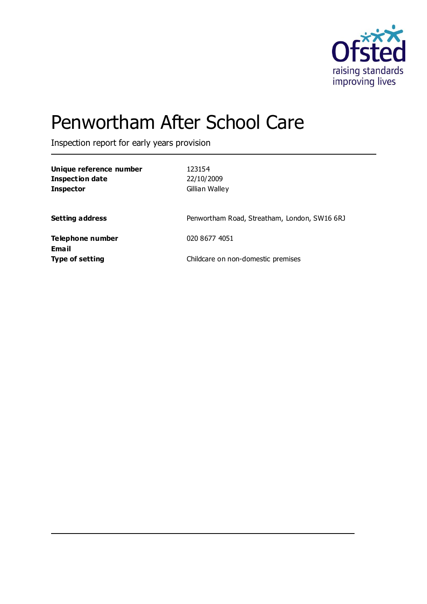

# Penwortham After School Care

Inspection report for early years provision

| Unique reference number<br><b>Inspection date</b><br><b>Inspector</b> | 123154<br>22/10/2009<br>Gillian Walley       |
|-----------------------------------------------------------------------|----------------------------------------------|
| <b>Setting address</b>                                                | Penwortham Road, Streatham, London, SW16 6RJ |
| Telephone number                                                      | 020 8677 4051                                |
| Email<br><b>Type of setting</b>                                       | Childcare on non-domestic premises           |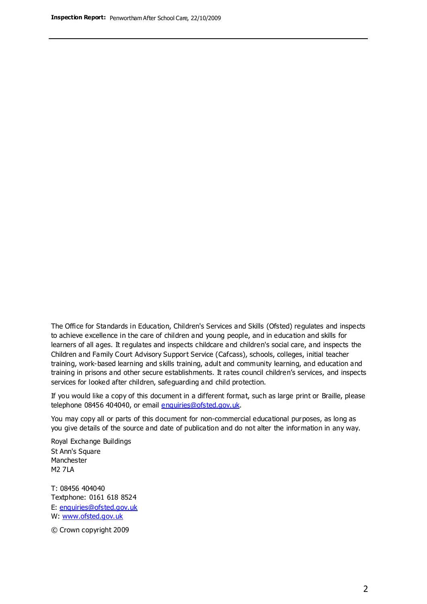The Office for Standards in Education, Children's Services and Skills (Ofsted) regulates and inspects to achieve excellence in the care of children and young people, and in education and skills for learners of all ages. It regulates and inspects childcare and children's social care, and inspects the Children and Family Court Advisory Support Service (Cafcass), schools, colleges, initial teacher training, work-based learning and skills training, adult and community learning, and education and training in prisons and other secure establishments. It rates council children's services, and inspects services for looked after children, safeguarding and child protection.

If you would like a copy of this document in a different format, such as large print or Braille, please telephone 08456 404040, or email enquiries@ofsted.gov.uk.

You may copy all or parts of this document for non-commercial educational purposes, as long as you give details of the source and date of publication and do not alter the information in any way.

Royal Exchange Buildings St Ann's Square Manchester M2 7LA

T: 08456 404040 Textphone: 0161 618 8524 E: enquiries@ofsted.gov.uk W: [www.ofsted.gov.uk](http://www.ofsted.gov.uk/)

© Crown copyright 2009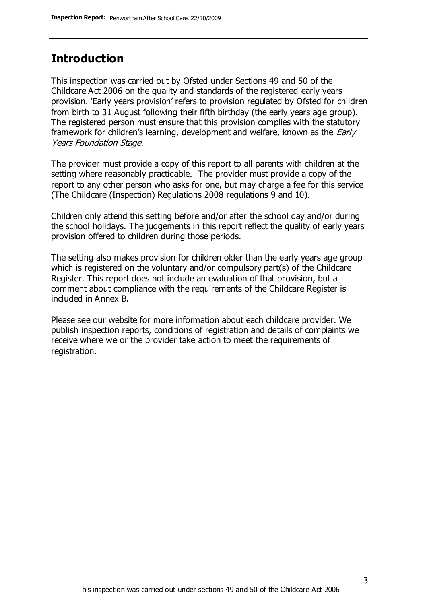### **Introduction**

This inspection was carried out by Ofsted under Sections 49 and 50 of the Childcare Act 2006 on the quality and standards of the registered early years provision. 'Early years provision' refers to provision regulated by Ofsted for children from birth to 31 August following their fifth birthday (the early years age group). The registered person must ensure that this provision complies with the statutory framework for children's learning, development and welfare, known as the *Early* Years Foundation Stage.

The provider must provide a copy of this report to all parents with children at the setting where reasonably practicable. The provider must provide a copy of the report to any other person who asks for one, but may charge a fee for this service (The Childcare (Inspection) Regulations 2008 regulations 9 and 10).

Children only attend this setting before and/or after the school day and/or during the school holidays. The judgements in this report reflect the quality of early years provision offered to children during those periods.

The setting also makes provision for children older than the early years age group which is registered on the voluntary and/or compulsory part(s) of the Childcare Register. This report does not include an evaluation of that provision, but a comment about compliance with the requirements of the Childcare Register is included in Annex B.

Please see our website for more information about each childcare provider. We publish inspection reports, conditions of registration and details of complaints we receive where we or the provider take action to meet the requirements of registration.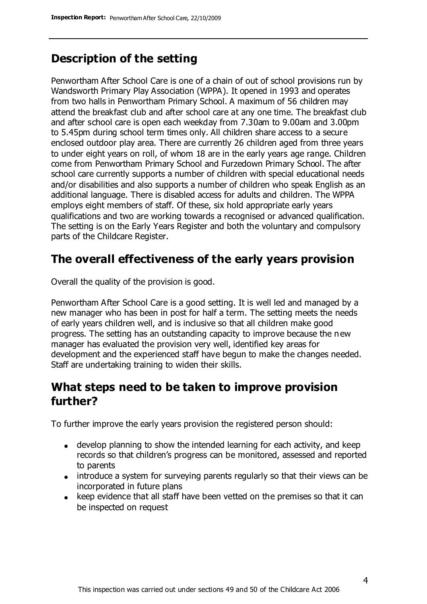## **Description of the setting**

Penwortham After School Care is one of a chain of out of school provisions run by Wandsworth Primary Play Association (WPPA). It opened in 1993 and operates from two halls in Penwortham Primary School. A maximum of 56 children may attend the breakfast club and after school care at any one time. The breakfast club and after school care is open each weekday from 7.30am to 9.00am and 3.00pm to 5.45pm during school term times only. All children share access to a secure enclosed outdoor play area. There are currently 26 children aged from three years to under eight years on roll, of whom 18 are in the early years age range. Children come from Penwortham Primary School and Furzedown Primary School. The after school care currently supports a number of children with special educational needs and/or disabilities and also supports a number of children who speak English as an additional language. There is disabled access for adults and children. The WPPA employs eight members of staff. Of these, six hold appropriate early years qualifications and two are working towards a recognised or advanced qualification. The setting is on the Early Years Register and both the voluntary and compulsory parts of the Childcare Register.

### **The overall effectiveness of the early years provision**

Overall the quality of the provision is good.

Penwortham After School Care is a good setting. It is well led and managed by a new manager who has been in post for half a term. The setting meets the needs of early years children well, and is inclusive so that all children make good progress. The setting has an outstanding capacity to improve because the new manager has evaluated the provision very well, identified key areas for development and the experienced staff have begun to make the changes needed. Staff are undertaking training to widen their skills.

### **What steps need to be taken to improve provision further?**

To further improve the early years provision the registered person should:

- develop planning to show the intended learning for each activity, and keep records so that children's progress can be monitored, assessed and reported to parents
- introduce a system for surveying parents regularly so that their views can be incorporated in future plans
- keep evidence that all staff have been vetted on the premises so that it can be inspected on request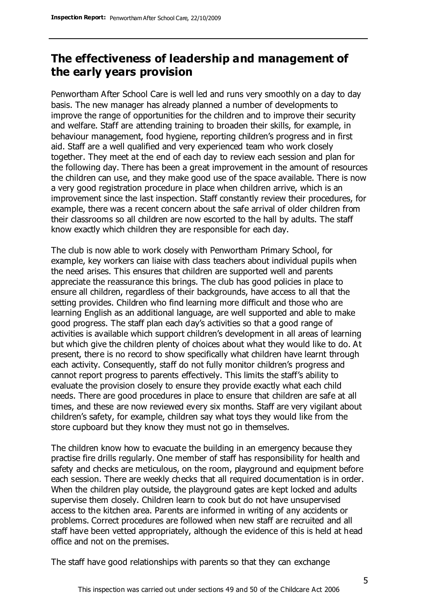# **The effectiveness of leadership and management of the early years provision**

Penwortham After School Care is well led and runs very smoothly on a day to day basis. The new manager has already planned a number of developments to improve the range of opportunities for the children and to improve their security and welfare. Staff are attending training to broaden their skills, for example, in behaviour management, food hygiene, reporting children's progress and in first aid. Staff are a well qualified and very experienced team who work closely together. They meet at the end of each day to review each session and plan for the following day. There has been a great improvement in the amount of resources the children can use, and they make good use of the space available. There is now a very good registration procedure in place when children arrive, which is an improvement since the last inspection. Staff constantly review their procedures, for example, there was a recent concern about the safe arrival of older children from their classrooms so all children are now escorted to the hall by adults. The staff know exactly which children they are responsible for each day.

The club is now able to work closely with Penwortham Primary School, for example, key workers can liaise with class teachers about individual pupils when the need arises. This ensures that children are supported well and parents appreciate the reassurance this brings. The club has good policies in place to ensure all children, regardless of their backgrounds, have access to all that the setting provides. Children who find learning more difficult and those who are learning English as an additional language, are well supported and able to make good progress. The staff plan each day's activities so that a good range of activities is available which support children's development in all areas of learning but which give the children plenty of choices about what they would like to do. At present, there is no record to show specifically what children have learnt through each activity. Consequently, staff do not fully monitor children's progress and cannot report progress to parents effectively. This limits the staff's ability to evaluate the provision closely to ensure they provide exactly what each child needs. There are good procedures in place to ensure that children are safe at all times, and these are now reviewed every six months. Staff are very vigilant about children's safety, for example, children say what toys they would like from the store cupboard but they know they must not go in themselves.

The children know how to evacuate the building in an emergency because they practise fire drills regularly. One member of staff has responsibility for health and safety and checks are meticulous, on the room, playground and equipment before each session. There are weekly checks that all required documentation is in order. When the children play outside, the playground gates are kept locked and adults supervise them closely. Children learn to cook but do not have unsupervised access to the kitchen area. Parents are informed in writing of any accidents or problems. Correct procedures are followed when new staff are recruited and all staff have been vetted appropriately, although the evidence of this is held at head office and not on the premises.

The staff have good relationships with parents so that they can exchange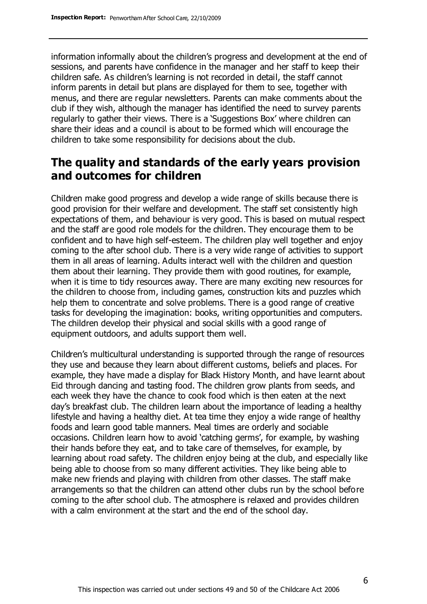information informally about the children's progress and development at the end of sessions, and parents have confidence in the manager and her staff to keep their children safe. As children's learning is not recorded in detail, the staff cannot inform parents in detail but plans are displayed for them to see, together with menus, and there are regular newsletters. Parents can make comments about the club if they wish, although the manager has identified the need to survey parents regularly to gather their views. There is a 'Suggestions Box' where children can share their ideas and a council is about to be formed which will encourage the children to take some responsibility for decisions about the club.

# **The quality and standards of the early years provision and outcomes for children**

Children make good progress and develop a wide range of skills because there is good provision for their welfare and development. The staff set consistently high expectations of them, and behaviour is very good. This is based on mutual respect and the staff are good role models for the children. They encourage them to be confident and to have high self-esteem. The children play well together and enjoy coming to the after school club. There is a very wide range of activities to support them in all areas of learning. Adults interact well with the children and question them about their learning. They provide them with good routines, for example, when it is time to tidy resources away. There are many exciting new resources for the children to choose from, including games, construction kits and puzzles which help them to concentrate and solve problems. There is a good range of creative tasks for developing the imagination: books, writing opportunities and computers. The children develop their physical and social skills with a good range of equipment outdoors, and adults support them well.

Children's multicultural understanding is supported through the range of resources they use and because they learn about different customs, beliefs and places. For example, they have made a display for Black History Month, and have learnt about Eid through dancing and tasting food. The children grow plants from seeds, and each week they have the chance to cook food which is then eaten at the next day's breakfast club. The children learn about the importance of leading a healthy lifestyle and having a healthy diet. At tea time they enjoy a wide range of healthy foods and learn good table manners. Meal times are orderly and sociable occasions. Children learn how to avoid 'catching germs', for example, by washing their hands before they eat, and to take care of themselves, for example, by learning about road safety. The children enjoy being at the club, and especially like being able to choose from so many different activities. They like being able to make new friends and playing with children from other classes. The staff make arrangements so that the children can attend other clubs run by the school before coming to the after school club. The atmosphere is relaxed and provides children with a calm environment at the start and the end of the school day.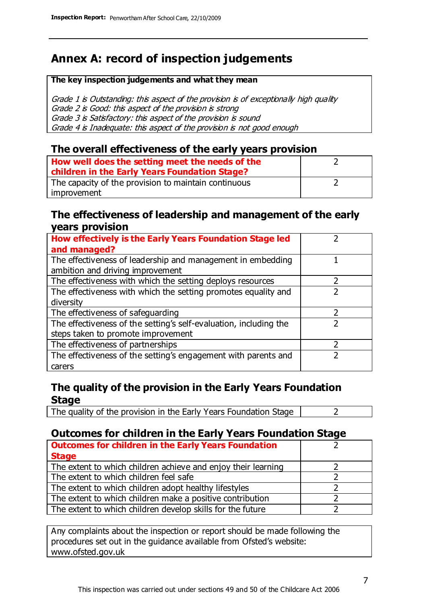# **Annex A: record of inspection judgements**

#### **The key inspection judgements and what they mean**

Grade 1 is Outstanding: this aspect of the provision is of exceptionally high quality Grade 2 is Good: this aspect of the provision is strong Grade 3 is Satisfactory: this aspect of the provision is sound Grade 4 is Inadequate: this aspect of the provision is not good enough

### **The overall effectiveness of the early years provision**

| How well does the setting meet the needs of the<br>children in the Early Years Foundation Stage? |  |
|--------------------------------------------------------------------------------------------------|--|
| The capacity of the provision to maintain continuous                                             |  |
| improvement                                                                                      |  |

### **The effectiveness of leadership and management of the early years provision**

| How effectively is the Early Years Foundation Stage led                                         |   |
|-------------------------------------------------------------------------------------------------|---|
| and managed?                                                                                    |   |
| The effectiveness of leadership and management in embedding<br>ambition and driving improvement |   |
| The effectiveness with which the setting deploys resources                                      |   |
| The effectiveness with which the setting promotes equality and                                  |   |
| diversity                                                                                       |   |
| The effectiveness of safeguarding                                                               | 2 |
| The effectiveness of the setting's self-evaluation, including the                               |   |
| steps taken to promote improvement                                                              |   |
| The effectiveness of partnerships                                                               |   |
| The effectiveness of the setting's engagement with parents and                                  |   |
| carers                                                                                          |   |

### **The quality of the provision in the Early Years Foundation Stage**

The quality of the provision in the Early Years Foundation Stage  $\vert$  2

### **Outcomes for children in the Early Years Foundation Stage**

| <b>Outcomes for children in the Early Years Foundation</b>    |  |
|---------------------------------------------------------------|--|
| <b>Stage</b>                                                  |  |
| The extent to which children achieve and enjoy their learning |  |
| The extent to which children feel safe                        |  |
| The extent to which children adopt healthy lifestyles         |  |
| The extent to which children make a positive contribution     |  |
| The extent to which children develop skills for the future    |  |

Any complaints about the inspection or report should be made following the procedures set out in the guidance available from Ofsted's website: www.ofsted.gov.uk